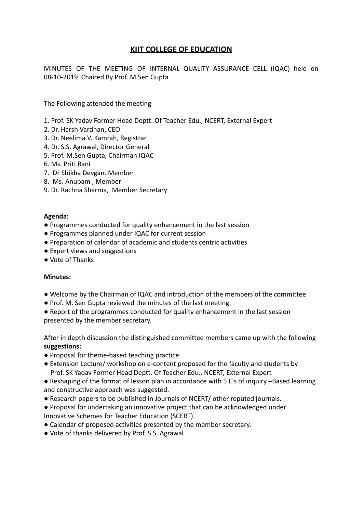## **KIIT COLLEGE OF EDUCATION**

MINUTES OF THE MEETING OF INTERNAL QUALITY ASSURANCE CELL (IQAC) held on 08-10-2019 Chaired By Prof. M.Sen Gupta

The Following attended the meeting

- 1. Prof. SK Yadav Former Head Deptt. Of Teacher Edu., NCERT, External Expert
- 2. Dr. Harsh Vardhan, CEO
- 3. Dr. Neelima V. Kamrah, Registrar
- 4. Dr. S.S. Agrawal, Director General
- 5. Prof. M.Sen Gupta, Chairman IQAC
- 6. Ms. Priti Rani
- 7. Dr Shikha Devgan. Member
- 8. Ms. Anupam , Member
- 9. Dr. Rachna Sharma, Member Secretary

#### **Agenda:**

- Programmes conducted for quality enhancement in the last session
- Programmes planned under IQAC for current session
- Preparation of calendar of academic and students centric activities
- Expert views and suggestions
- Vote of Thanks

#### **Minutes:**

- Welcome by the Chairman of IQAC and introduction of the members of the committee.
- Prof. M. Sen Gupta reviewed the minutes of the last meeting.
- Report of the programmes conducted for quality enhancement in the last session presented by the member secretary.

After in depth discussion the distinguished committee members came up with the following **suggestions:**

- Proposal for theme-based teaching practice
- Extension Lecture/ workshop on e-content proposed for the faculty and students by Prof. SK Yadav Former Head Deptt. Of Teacher Edu., NCERT, External Expert
- Reshaping of the format of lesson plan in accordance with 5 E's of inquiry –Based learning and constructive approach was suggested.
- Research papers to be published in Journals of NCERT/ other reputed journals.
- Proposal for undertaking an innovative project that can be acknowledged under Innovative Schemes for Teacher Education (SCERT).
- Calendar of proposed activities presented by the member secretary.
- Vote of thanks delivered by Prof. S.S. Agrawal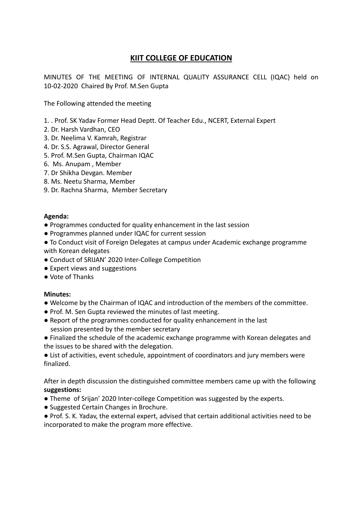# **KIIT COLLEGE OF EDUCATION**

MINUTES OF THE MEETING OF INTERNAL QUALITY ASSURANCE CELL (IQAC) held on 10-02-2020 Chaired By Prof. M.Sen Gupta

The Following attended the meeting

- 1. . Prof. SK Yadav Former Head Deptt. Of Teacher Edu., NCERT, External Expert
- 2. Dr. Harsh Vardhan, CEO
- 3. Dr. Neelima V. Kamrah, Registrar
- 4. Dr. S.S. Agrawal, Director General
- 5. Prof. M.Sen Gupta, Chairman IQAC
- 6. Ms. Anupam , Member
- 7. Dr Shikha Devgan. Member
- 8. Ms. Neetu Sharma, Member
- 9. Dr. Rachna Sharma, Member Secretary

#### **Agenda:**

- Programmes conducted for quality enhancement in the last session
- Programmes planned under IQAC for current session
- To Conduct visit of Foreign Delegates at campus under Academic exchange programme with Korean delegates
- Conduct of SRIJAN' 2020 Inter-College Competition
- Expert views and suggestions
- Vote of Thanks

#### **Minutes:**

- Welcome by the Chairman of IQAC and introduction of the members of the committee.
- Prof. M. Sen Gupta reviewed the minutes of last meeting.
- Report of the programmes conducted for quality enhancement in the last session presented by the member secretary
- Finalized the schedule of the academic exchange programme with Korean delegates and the issues to be shared with the delegation.

● List of activities, event schedule, appointment of coordinators and jury members were finalized.

After in depth discussion the distinguished committee members came up with the following **suggestions:**

- Theme of Srijan' 2020 Inter-college Competition was suggested by the experts.
- Suggested Certain Changes in Brochure.
- Prof. S. K. Yadav, the external expert, advised that certain additional activities need to be incorporated to make the program more effective.